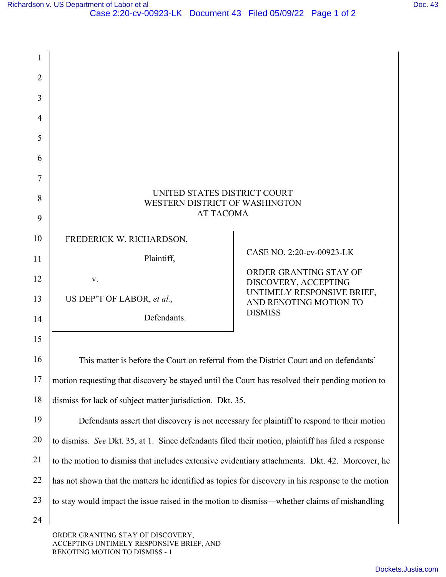| $\overline{2}$ |                                                                                                    |                                                    |
|----------------|----------------------------------------------------------------------------------------------------|----------------------------------------------------|
| 3              |                                                                                                    |                                                    |
| $\overline{4}$ |                                                                                                    |                                                    |
| 5              |                                                                                                    |                                                    |
| 6              |                                                                                                    |                                                    |
| 7              |                                                                                                    |                                                    |
| 8              | UNITED STATES DISTRICT COURT<br>WESTERN DISTRICT OF WASHINGTON                                     |                                                    |
| 9              | <b>AT TACOMA</b>                                                                                   |                                                    |
| 10             | FREDERICK W. RICHARDSON,                                                                           |                                                    |
| 11             | Plaintiff,                                                                                         | CASE NO. 2:20-cv-00923-LK                          |
| 12             | V.                                                                                                 | ORDER GRANTING STAY OF                             |
| 13             | US DEP'T OF LABOR, et al.,                                                                         | DISCOVERY, ACCEPTING<br>UNTIMELY RESPONSIVE BRIEF, |
| 14             | Defendants.                                                                                        | AND RENOTING MOTION TO<br><b>DISMISS</b>           |
|                |                                                                                                    |                                                    |
| 15             |                                                                                                    |                                                    |
| 16             | This matter is before the Court on referral from the District Court and on defendants'             |                                                    |
| 17             | motion requesting that discovery be stayed until the Court has resolved their pending motion to    |                                                    |
| 18             | dismiss for lack of subject matter jurisdiction. Dkt. 35.                                          |                                                    |
| 19             | Defendants assert that discovery is not necessary for plaintiff to respond to their motion         |                                                    |
| 20             | to dismiss. See Dkt. 35, at 1. Since defendants filed their motion, plaintiff has filed a response |                                                    |
| 21             | to the motion to dismiss that includes extensive evidentiary attachments. Dkt. 42. Moreover, he    |                                                    |
| 22             | has not shown that the matters he identified as topics for discovery in his response to the motion |                                                    |
| 23             | to stay would impact the issue raised in the motion to dismiss—whether claims of mishandling       |                                                    |
| 24             |                                                                                                    |                                                    |

ORDER GRANTING STAY OF DISCOVERY, ACCEPTING UNTIMELY RESPONSIVE BRIEF, AND RENOTING MOTION TO DISMISS - 1